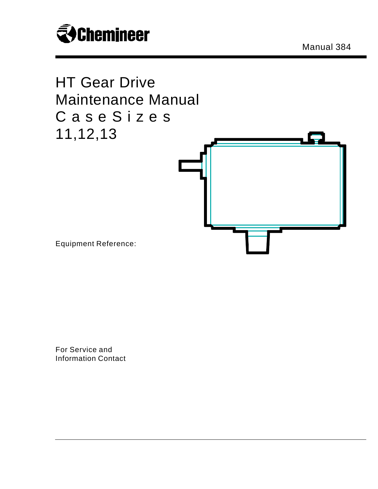

Manual 384



For Service and Information Contact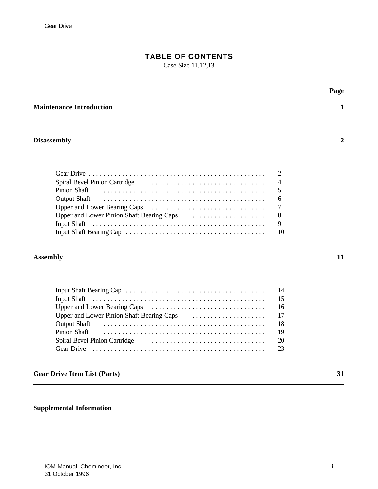# **TABLE OF CONTENTS**

Case Size 11,12,13

| <b>Maintenance Introduction</b>                                                                                                                                                                                                                                                                                                                                                        | Page                   |
|----------------------------------------------------------------------------------------------------------------------------------------------------------------------------------------------------------------------------------------------------------------------------------------------------------------------------------------------------------------------------------------|------------------------|
| <b>Disassembly</b>                                                                                                                                                                                                                                                                                                                                                                     |                        |
| Spiral Bevel Pinion Cartridge (Change and Cartridge and Cartridge and Cartridge and Cartridge and Cartes and C<br>Pinion Shaft<br><b>Output Shaft</b><br>Input Shaft (and the contract of the contract of the state of the state of the state of the state of the state of the state of the state of the state of the state of the state of the state of the state of the state of the | 5<br>6<br>8<br>9<br>10 |

#### **Assembly 11**

|                                                                                                                                                                                                                                | -18 |
|--------------------------------------------------------------------------------------------------------------------------------------------------------------------------------------------------------------------------------|-----|
| Pinion Shaft (also contained a control of the control of the control of the control of the control of the control of the control of the control of the control of the control of the control of the control of the control of  |     |
| Spiral Bevel Pinion Cartridge (and according to the series of the series of the series of the series of the series of the series of the series of the series of the series of the series of the series of the series of the se |     |
|                                                                                                                                                                                                                                |     |

## **Gear Drive Item List (Parts) 31**

## **Supplemental Information**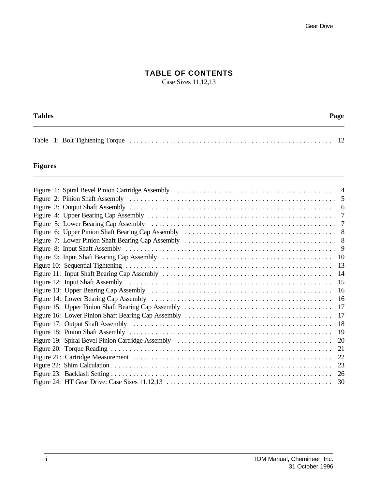## **TABLE OF CONTENTS**

Case Sizes 11,12,13

| <b>Tables</b> |  |  |  |  |
|---------------|--|--|--|--|
|               |  |  |  |  |
|               |  |  |  |  |

## **Figures**

|  | 17 |
|--|----|
|  | 17 |
|  | 18 |
|  |    |
|  |    |
|  |    |
|  |    |
|  | 23 |
|  |    |
|  | 30 |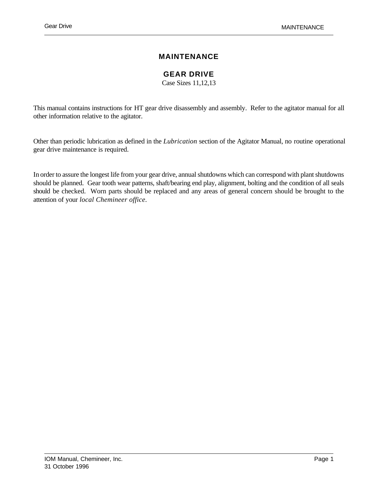## **MAINTENANCE**

**GEAR DRIVE**

Case Sizes 11,12,13

This manual contains instructions for HT gear drive disassembly and assembly. Refer to the agitator manual for all other information relative to the agitator.

Other than periodic lubrication as defined in the *Lubrication* section of the Agitator Manual, no routine operational gear drive maintenance is required.

In order to assure the longest life from your gear drive, annual shutdowns which can correspond with plant shutdowns should be planned. Gear tooth wear patterns, shaft/bearing end play, alignment, bolting and the condition of all seals should be checked. Worn parts should be replaced and any areas of general concern should be brought to the attention of your *local Chemineer office.*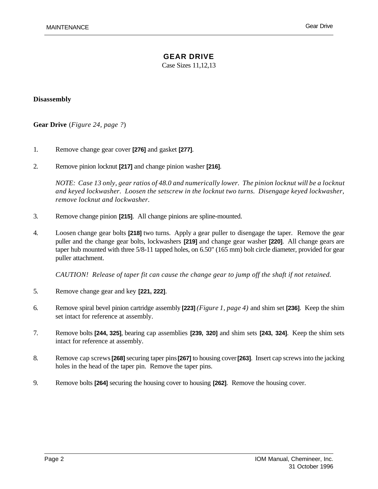Case Sizes 11,12,13

#### **Disassembly**

**Gear Drive** (*Figure 24, page ?*)

- 1. Remove change gear cover **[276]** and gasket **[277]**.
- 2. Remove pinion locknut **[217]** and change pinion washer **[216]**.

*NOTE: Case 13 only, gear ratios of 48.0 and numerically lower. The pinion locknut will be a locknut and keyed lockwasher. Loosen the setscrew in the locknut two turns. Disengage keyed lockwasher, remove locknut and lockwasher.*

- 3. Remove change pinion **[215]**. All change pinions are spline-mounted.
- 4. Loosen change gear bolts **[218]** two turns. Apply a gear puller to disengage the taper. Remove the gear puller and the change gear bolts, lockwashers **[219]** and change gear washer **[220]**. All change gears are taper hub mounted with three 5/8-11 tapped holes, on 6.50" (165 mm) bolt circle diameter, provided for gear puller attachment.

*CAUTION! Release of taper fit can cause the change gear to jump off the shaft if not retained.*

- 5. Remove change gear and key **[221, 222]**.
- 6. Remove spiral bevel pinion cartridge assembly **[223]** *(Figure 1, page 4)* and shim set **[236]**. Keep the shim set intact for reference at assembly.
- 7. Remove bolts **[244, 325]**, bearing cap assemblies **[239, 320]** and shim sets **[243, 324]**. Keep the shim sets intact for reference at assembly.
- 8. Remove cap screws **[268]** securing taper pins **[267]** to housing cover **[263]**. Insert cap screws into the jacking holes in the head of the taper pin. Remove the taper pins.
- 9. Remove bolts **[264]** securing the housing cover to housing **[262]**. Remove the housing cover.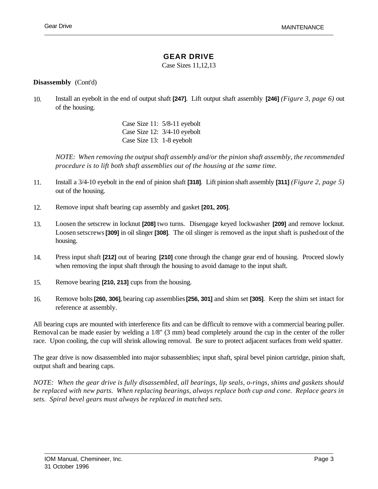#### **GEAR DRIVE**

Case Sizes 11,12,13

#### **Disassembly** (Cont'd)

10. Install an eyebolt in the end of output shaft **[247]**. Lift output shaft assembly **[246]** *(Figure 3, page 6)* out of the housing.

> Case Size 11: 5/8-11 eyebolt Case Size 12: 3/4-10 eyebolt Case Size 13: 1-8 eyebolt

*NOTE: When removing the output shaft assembly and/or the pinion shaft assembly, the recommended procedure is to lift both shaft assemblies out of the housing at the same time.*

- 11. Install a 3/4-10 eyebolt in the end of pinion shaft **[318]**. Lift pinion shaft assembly **[311]** *(Figure 2, page 5)* out of the housing.
- 12. Remove input shaft bearing cap assembly and gasket **[201, 205]**.
- 13. Loosen the setscrew in locknut **[208]** two turns. Disengage keyed lockwasher **[209]** and remove locknut. Loosen setscrews **[309]** in oil slinger **[308]**. The oil slinger is removed as the input shaft is pushed out of the housing.
- 14. Press input shaft **[212]** out of bearing **[210]** cone through the change gear end of housing. Proceed slowly when removing the input shaft through the housing to avoid damage to the input shaft.
- 15. Remove bearing **[210, 213]** cups from the housing.
- 16. Remove bolts**[260, 306]**, bearing cap assemblies **[256, 301]** and shim set **[305]**. Keep the shim set intact for reference at assembly.

All bearing cups are mounted with interference fits and can be difficult to remove with a commercial bearing puller. Removal can be made easier by welding a 1/8" (3 mm) bead completely around the cup in the center of the roller race. Upon cooling, the cup will shrink allowing removal. Be sure to protect adjacent surfaces from weld spatter.

The gear drive is now disassembled into major subassemblies; input shaft, spiral bevel pinion cartridge, pinion shaft, output shaft and bearing caps.

*NOTE: When the gear drive is fully disassembled, all bearings, lip seals, o-rings, shims and gaskets should be replaced with new parts. When replacing bearings, always replace both cup and cone. Replace gears in sets. Spiral bevel gears must always be replaced in matched sets.*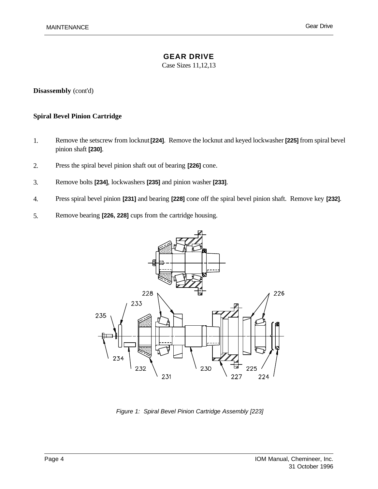Case Sizes 11,12,13

**Disassembly** (cont'd)

#### **Spiral Bevel Pinion Cartridge**

- 1. Remove the setscrew from locknut **[224]**. Remove the locknut and keyed lockwasher **[225]** from spiral bevel pinion shaft **[230]**.
- 2. Press the spiral bevel pinion shaft out of bearing **[226]** cone.
- 3. Remove bolts **[234]**, lockwashers **[235]** and pinion washer **[233]**.
- 4. Press spiral bevel pinion **[231]** and bearing **[228]** cone off the spiral bevel pinion shaft. Remove key **[232]**.
- 5. Remove bearing **[226, 228]** cups from the cartridge housing.



*Figure 1: Spiral Bevel Pinion Cartridge Assembly [223]*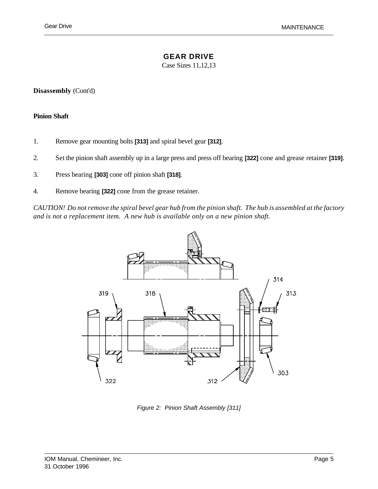#### **GEAR DRIVE**

Case Sizes 11,12,13

**Disassembly** (Cont'd)

#### **Pinion Shaft**

- 1. Remove gear mounting bolts **[313]** and spiral bevel gear **[312]**.
- 2. Set the pinion shaft assembly up in a large press and press off bearing **[322]** cone and grease retainer **[319]**.
- 3. Press bearing **[303]** cone off pinion shaft **[318]**.
- 4. Remove bearing **[322]** cone from the grease retainer.

*CAUTION! Do not remove the spiral bevel gear hub from the pinion shaft. The hub is assembled at the factory and is not a replacement item. A new hub is available only on a new pinion shaft.*



*Figure 2: Pinion Shaft Assembly [311]*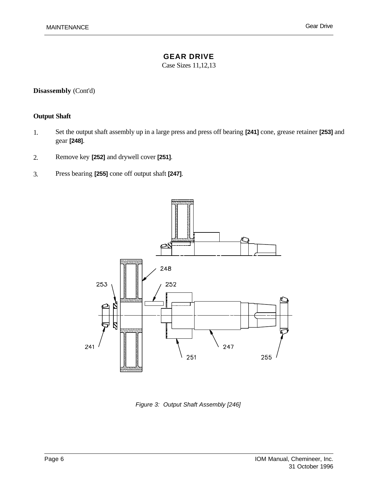Case Sizes 11,12,13

## **Disassembly** (Cont'd)

## **Output Shaft**

- 1. Set the output shaft assembly up in a large press and press off bearing **[241]** cone, grease retainer **[253]** and gear **[248]**.
- 2. Remove key **[252]** and drywell cover **[251]**.
- 3. Press bearing **[255]** cone off output shaft **[247]**.



*Figure 3: Output Shaft Assembly [246]*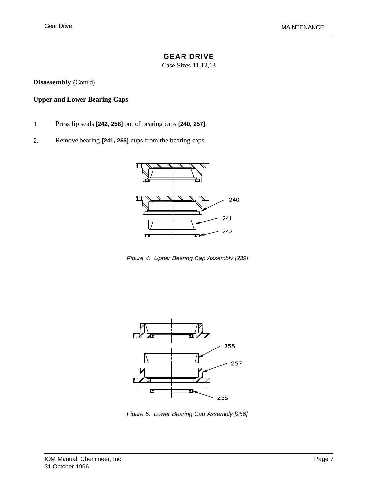#### **GEAR DRIVE**

Case Sizes 11,12,13

**Disassembly** (Cont'd)

## **Upper and Lower Bearing Caps**

- 1. Press lip seals **[242, 258]** out of bearing caps **[240, 257]**.
- 2. Remove bearing **[241, 255]** cups from the bearing caps.



*Figure 4: Upper Bearing Cap Assembly [239]*



*Figure 5: Lower Bearing Cap Assembly [256]*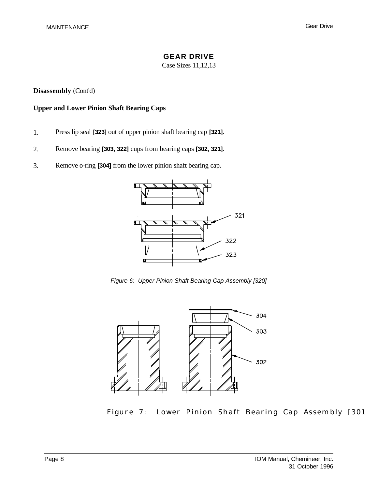Case Sizes 11,12,13

**Disassembly** (Cont'd)

#### **Upper and Lower Pinion Shaft Bearing Caps**

- 1. Press lip seal **[323]** out of upper pinion shaft bearing cap **[321]**.
- 2. Remove bearing **[303, 322]** cups from bearing caps **[302, 321]**.
- 3. Remove o-ring **[304]** from the lower pinion shaft bearing cap.



*Figure 6: Upper Pinion Shaft Bearing Cap Assembly [320]*



Figure 7: Lower Pinion Shaft Bearing Cap Assembly [301]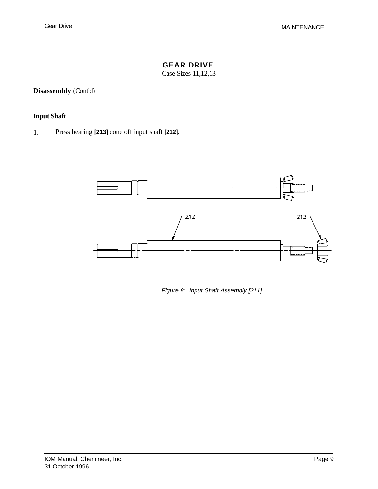## **GEAR DRIVE**

Case Sizes 11,12,13

**Disassembly** (Cont'd)

### **Input Shaft**

1. Press bearing **[213]** cone off input shaft **[212]**.



*Figure 8: Input Shaft Assembly [211]*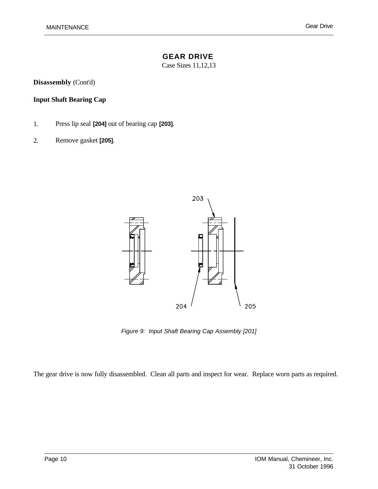Case Sizes 11,12,13

**Disassembly** (Cont'd)

## **Input Shaft Bearing Cap**

- 1. Press lip seal **[204]** out of bearing cap **[203]**.
- 2. Remove gasket **[205]**.



*Figure 9: Input Shaft Bearing Cap Assembly [201]*

The gear drive is now fully disassembled. Clean all parts and inspect for wear. Replace worn parts as required.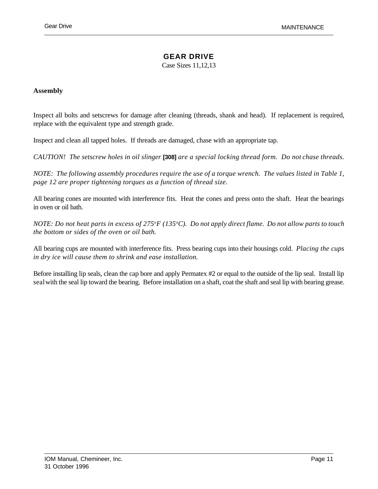### **GEAR DRIVE**

Case Sizes 11,12,13

#### **Assembly**

Inspect all bolts and setscrews for damage after cleaning (threads, shank and head). If replacement is required, replace with the equivalent type and strength grade.

Inspect and clean all tapped holes. If threads are damaged, chase with an appropriate tap.

*CAUTION! The setscrew holes in oil slinger* **[308]** *are a special locking thread form. Do not chase threads.*

*NOTE: The following assembly procedures require the use of a torque wrench. The values listed in Table 1, page 12 are proper tightening torques as a function of thread size.*

All bearing cones are mounted with interference fits. Heat the cones and press onto the shaft. Heat the bearings in oven or oil bath.

*NOTE: Do not heat parts in excess of 275*<sup>o</sup>*F (135*<sup>o</sup>*C). Do not apply direct flame. Do not allow parts to touch the bottom or sides of the oven or oil bath.* 

All bearing cups are mounted with interference fits. Press bearing cups into their housings cold. *Placing the cups in dry ice will cause them to shrink and ease installation.*

Before installing lip seals, clean the cap bore and apply Permatex #2 or equal to the outside of the lip seal. Install lip seal with the seal lip toward the bearing. Before installation on a shaft, coat the shaft and seal lip with bearing grease.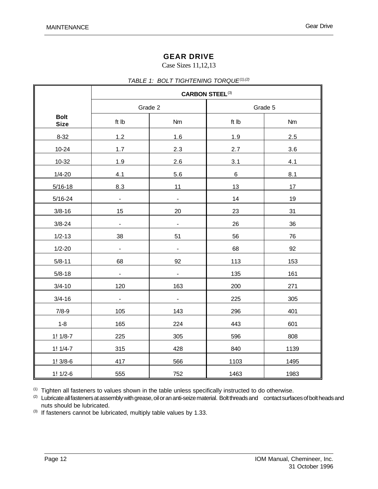#### Case Sizes 11,12,13

|                            | <b>CARBON STEEL(3)</b>       |                          |         |           |  |  |
|----------------------------|------------------------------|--------------------------|---------|-----------|--|--|
|                            | Grade 2                      |                          | Grade 5 |           |  |  |
| <b>Bolt</b><br><b>Size</b> | ft Ib                        | Nm                       | ft Ib   | <b>Nm</b> |  |  |
| $8 - 32$                   | 1.2                          | 1.6                      | 1.9     | 2.5       |  |  |
| $10 - 24$                  | 1.7                          | 2.3                      | 2.7     | 3.6       |  |  |
| 10-32                      | 1.9                          | 2.6                      | 3.1     | 4.1       |  |  |
| $1/4 - 20$                 | 4.1                          | 5.6                      | $\,6\,$ | 8.1       |  |  |
| $5/16 - 18$                | 8.3                          | 11                       | 13      | 17        |  |  |
| $5/16 - 24$                | $\frac{1}{2}$                | $\blacksquare$           | 14      | 19        |  |  |
| $3/8 - 16$                 | 15                           | 20                       | 23      | 31        |  |  |
| $3/8 - 24$                 | $\qquad \qquad \blacksquare$ | $\blacksquare$           | 26      | 36        |  |  |
| $1/2 - 13$                 | 38                           | 51                       | 56      | 76        |  |  |
| $1/2 - 20$                 | $\frac{1}{2}$                | $\overline{\phantom{a}}$ | 68      | 92        |  |  |
| $5/8 - 11$                 | 68                           | 92                       | 113     | 153       |  |  |
| $5/8 - 18$                 | $\frac{1}{2}$                | $\overline{\phantom{a}}$ | 135     | 161       |  |  |
| $3/4 - 10$                 | 120                          | 163                      | 200     | 271       |  |  |
| $3/4 - 16$                 | $\frac{1}{2}$                | $\blacksquare$           | 225     | 305       |  |  |
| $7/8-9$                    | 105                          | 143                      | 296     | 401       |  |  |
| $1 - 8$                    | 165                          | 224                      | 443     | 601       |  |  |
| $1! 1/8-7$                 | 225                          | 305                      | 596     | 808       |  |  |
| $1! 1/4-7$                 | 315                          | 428                      | 840     | 1139      |  |  |
| $1!3/8-6$                  | 417                          | 566                      | 1103    | 1495      |  |  |
| $1! 1/2-6$                 | 555                          | 752                      | 1463    | 1983      |  |  |

(1) Tighten all fasteners to values shown in the table unless specifically instructed to do otherwise.

(2) Lubricate all fasteners at assembly with grease, oil or an anti-seize material. Bolt threads and contact surfaces of bolt heads and nuts should be lubricated.

(3) If fasteners cannot be lubricated, multiply table values by 1.33.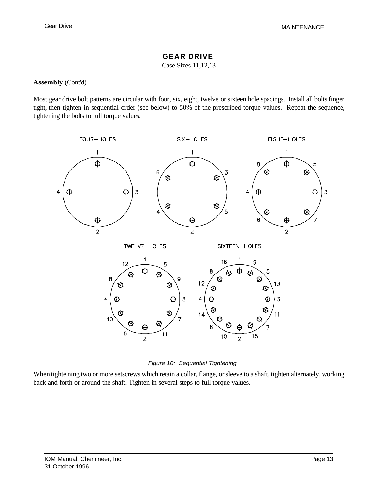#### **GEAR DRIVE**

Case Sizes 11,12,13

#### **Assembly** (Cont'd)

Most gear drive bolt patterns are circular with four, six, eight, twelve or sixteen hole spacings. Install all bolts finger tight, then tighten in sequential order (see below) to 50% of the prescribed torque values. Repeat the sequence, tightening the bolts to full torque values.



*Figure 10: Sequential Tightening*

When tighte ning two or more setscrews which retain a collar, flange, or sleeve to a shaft, tighten alternately, working back and forth or around the shaft. Tighten in several steps to full torque values.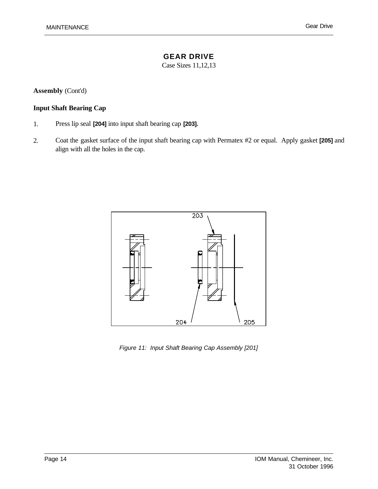Case Sizes 11,12,13

**Assembly** (Cont'd)

#### **Input Shaft Bearing Cap**

- 1. Press lip seal **[204]** into input shaft bearing cap **[203].**
- 2. Coat the gasket surface of the input shaft bearing cap with Permatex #2 or equal. Apply gasket **[205]** and align with all the holes in the cap.



*Figure 11: Input Shaft Bearing Cap Assembly [201]*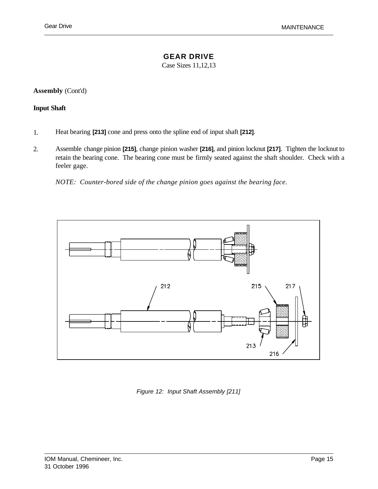#### **GEAR DRIVE**

Case Sizes 11,12,13

**Assembly** (Cont'd)

#### **Input Shaft**

- 1. Heat bearing **[213]** cone and press onto the spline end of input shaft **[212]**.
- 2. Assemble change pinion **[215]**, change pinion washer **[216]**, and pinion locknut **[217]**. Tighten the locknut to retain the bearing cone. The bearing cone must be firmly seated against the shaft shoulder. Check with a feeler gage.

*NOTE: Counter-bored side of the change pinion goes against the bearing face.*



*Figure 12: Input Shaft Assembly [211]*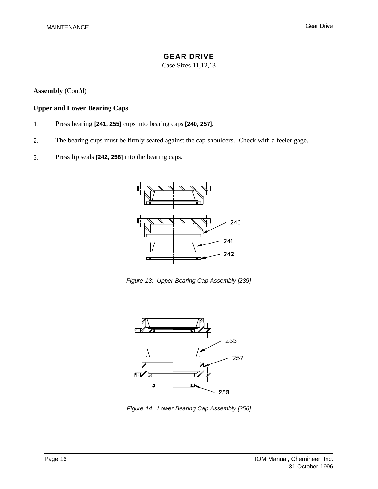Case Sizes 11,12,13

**Assembly** (Cont'd)

#### **Upper and Lower Bearing Caps**

- 1. Press bearing **[241, 255]** cups into bearing caps **[240, 257]**.
- 2. The bearing cups must be firmly seated against the cap shoulders. Check with a feeler gage.
- 3. Press lip seals **[242, 258]** into the bearing caps.



*Figure 13: Upper Bearing Cap Assembly [239]*



*Figure 14: Lower Bearing Cap Assembly [256]*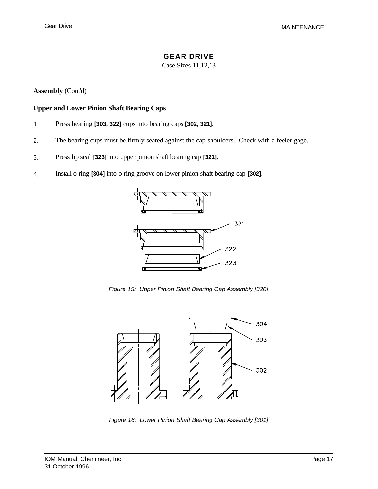#### **GEAR DRIVE**

Case Sizes 11,12,13

**Assembly** (Cont'd)

#### **Upper and Lower Pinion Shaft Bearing Caps**

- 1. Press bearing **[303, 322]** cups into bearing caps **[302, 321]**.
- 2. The bearing cups must be firmly seated against the cap shoulders. Check with a feeler gage.
- 3. Press lip seal **[323]** into upper pinion shaft bearing cap **[321]**.
- 4. Install o-ring **[304]** into o-ring groove on lower pinion shaft bearing cap **[302]**.



*Figure 15: Upper Pinion Shaft Bearing Cap Assembly [320]*



*Figure 16: Lower Pinion Shaft Bearing Cap Assembly [301]*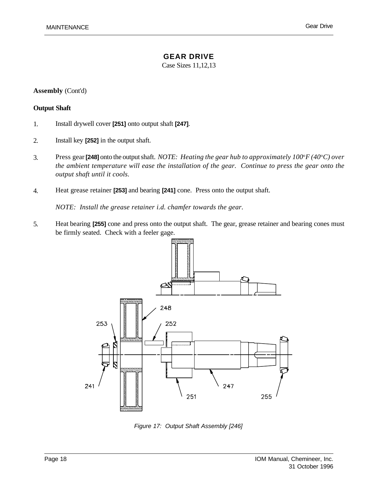Case Sizes 11,12,13

#### **Assembly** (Cont'd)

#### **Output Shaft**

- 1. Install drywell cover **[251]** onto output shaft **[247]**.
- 2. Install key **[252]** in the output shaft.
- 3. Press gear **[248]** onto the output shaft. *NOTE: Heating the gear hub to approximately 100*<sup>o</sup>*F (40*<sup>o</sup>*C) over the ambient temperature will ease the installation of the gear. Continue to press the gear onto the output shaft until it cools.*
- 4. Heat grease retainer **[253]** and bearing **[241]** cone. Press onto the output shaft.

*NOTE: Install the grease retainer i.d. chamfer towards the gear.*

5. Heat bearing **[255]** cone and press onto the output shaft. The gear, grease retainer and bearing cones must be firmly seated. Check with a feeler gage.



*Figure 17: Output Shaft Assembly [246]*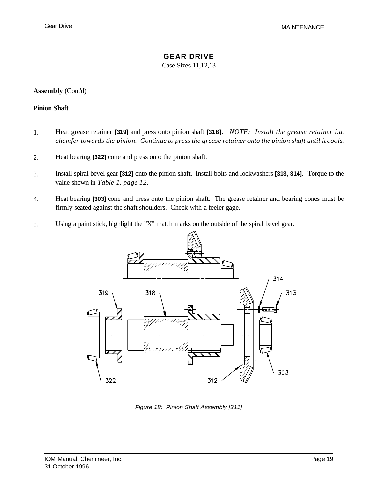#### **GEAR DRIVE**

Case Sizes 11,12,13

**Assembly** (Cont'd)

#### **Pinion Shaft**

- 1. Heat grease retainer **[319]** and press onto pinion shaft **[318]**. *NOTE: Install the grease retainer i.d. chamfer towards the pinion. Continue to press the grease retainer onto the pinion shaft until it cools.*
- 2. Heat bearing **[322]** cone and press onto the pinion shaft.
- 3. Install spiral bevel gear **[312]** onto the pinion shaft. Install bolts and lockwashers **[313, 314]**. Torque to the value shown in *Table 1, page 12.*
- 4. Heat bearing **[303]** cone and press onto the pinion shaft. The grease retainer and bearing cones must be firmly seated against the shaft shoulders. Check with a feeler gage.
- 5. Using a paint stick, highlight the "X" match marks on the outside of the spiral bevel gear.



*Figure 18: Pinion Shaft Assembly [311]*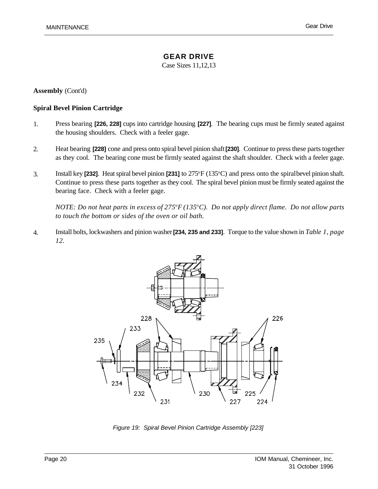Case Sizes 11,12,13

**Assembly** (Cont'd)

#### **Spiral Bevel Pinion Cartridge**

- 1. Press bearing **[226, 228]** cups into cartridge housing **[227]**. The bearing cups must be firmly seated against the housing shoulders. Check with a feeler gage.
- 2. Heat bearing **[228]** cone and press onto spiral bevel pinion shaft **[230]**. Continue to press these parts together as they cool. The bearing cone must be firmly seated against the shaft shoulder. Check with a feeler gage.
- 3. Install key **[232]**. Heat spiral bevel pinion **[231]** to 275<sup>o</sup>F (135<sup>o</sup>C) and press onto the spiral bevel pinion shaft. Continue to press these parts together as they cool. The spiral bevel pinion must be firmly seated against the bearing face. Check with a feeler gage.

*NOTE: Do not heat parts in excess of 275*<sup>o</sup>*F (135*<sup>o</sup>*C). Do not apply direct flame. Do not allow parts to touch the bottom or sides of the oven or oil bath.* 

4. Install bolts, lockwashers and pinion washer **[234, 235 and 233]**. Torque to the value shown in *Table 1, page 12.*



*Figure 19: Spiral Bevel Pinion Cartridge Assembly [223]*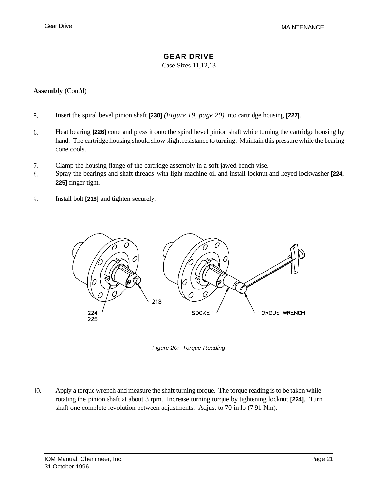### **GEAR DRIVE**

Case Sizes 11,12,13

#### **Assembly** (Cont'd)

- 5. Insert the spiral bevel pinion shaft **[230]** *(Figure 19, page 20)* into cartridge housing **[227]**.
- 6. Heat bearing **[226]** cone and press it onto the spiral bevel pinion shaft while turning the cartridge housing by hand. The cartridge housing should show slight resistance to turning. Maintain this pressure while the bearing cone cools.
- 7. Clamp the housing flange of the cartridge assembly in a soft jawed bench vise.
- 8. Spray the bearings and shaft threads with light machine oil and install locknut and keyed lockwasher **[224, 225]** finger tight.
- 9. Install bolt **[218]** and tighten securely.



*Figure 20: Torque Reading*

10. Apply a torque wrench and measure the shaft turning torque. The torque reading is to be taken while rotating the pinion shaft at about 3 rpm. Increase turning torque by tightening locknut **[224]**. Turn shaft one complete revolution between adjustments. Adjust to 70 in lb (7.91 Nm).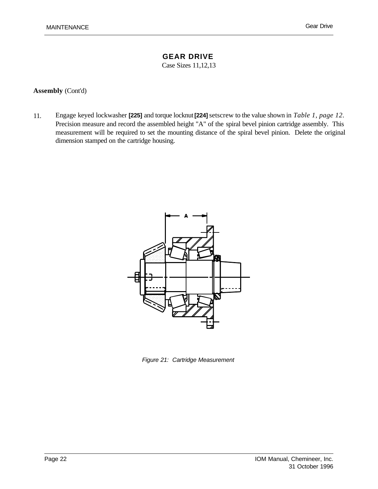Case Sizes 11,12,13

#### **Assembly** (Cont'd)

11. Engage keyed lockwasher **[225]** and torque locknut **[224]**setscrew to the value shown in *Table 1, page 12*. Precision measure and record the assembled height "A" of the spiral bevel pinion cartridge assembly. This measurement will be required to set the mounting distance of the spiral bevel pinion. Delete the original dimension stamped on the cartridge housing.



*Figure 21: Cartridge Measurement*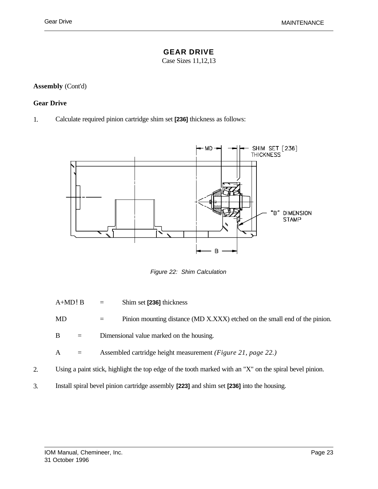## **GEAR DRIVE**

Case Sizes 11,12,13

## **Assembly** (Cont'd)

### **Gear Drive**

1. Calculate required pinion cartridge shim set **[236]** thickness as follows:



*Figure 22: Shim Calculation*

A+MD!B = Shim set **[236]** thickness MD = Pinion mounting distance (MD X.XXX) etched on the small end of the pinion. B = Dimensional value marked on the housing. A = Assembled cartridge height measurement *(Figure 21, page 22.)* 2. Using a paint stick, highlight the top edge of the tooth marked with an "X" on the spiral bevel pinion. 3. Install spiral bevel pinion cartridge assembly **[223]** and shim set **[236]** into the housing.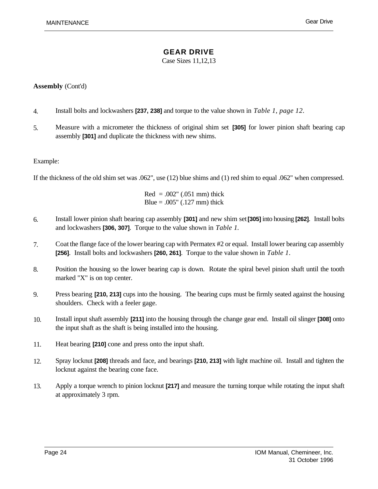Case Sizes 11,12,13

### **Assembly** (Cont'd)

- 4. Install bolts and lockwashers **[237, 238]** and torque to the value shown in *Table 1, page 12*.
- 5. Measure with a micrometer the thickness of original shim set **[305]** for lower pinion shaft bearing cap assembly **[301]** and duplicate the thickness with new shims.

### Example:

If the thickness of the old shim set was .062", use (12) blue shims and (1) red shim to equal .062" when compressed.

 $Red = .002" (.051 mm)$  thick Blue =  $.005$ " ( $.127$  mm) thick

- 6. Install lower pinion shaft bearing cap assembly **[301]** and new shim set**[305]** into housing **[262]**. Install bolts and lockwashers **[306, 307]**. Torque to the value shown in *Table 1.*
- 7. Coat the flange face of the lower bearing cap with Permatex #2 or equal. Install lower bearing cap assembly **[256]**. Install bolts and lockwashers **[260, 261]**. Torque to the value shown in *Table 1*.
- 8. Position the housing so the lower bearing cap is down. Rotate the spiral bevel pinion shaft until the tooth marked "X" is on top center.
- 9. Press bearing **[210, 213]** cups into the housing. The bearing cups must be firmly seated against the housing shoulders. Check with a feeler gage.
- 10. Install input shaft assembly **[211]** into the housing through the change gear end. Install oil slinger **[308]** onto the input shaft as the shaft is being installed into the housing.
- 11. Heat bearing **[210]** cone and press onto the input shaft.
- 12. Spray locknut **[208]** threads and face, and bearings **[210, 213]** with light machine oil. Install and tighten the locknut against the bearing cone face.
- 13. Apply a torque wrench to pinion locknut **[217]** and measure the turning torque while rotating the input shaft at approximately 3 rpm.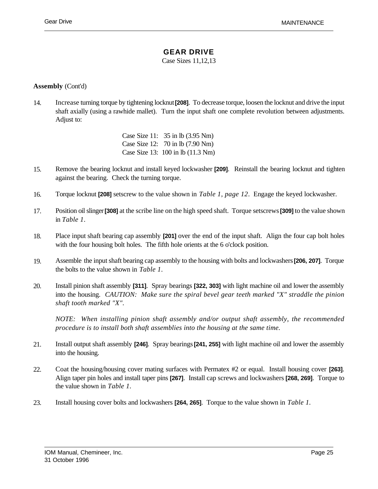## **GEAR DRIVE**

Case Sizes 11,12,13

### **Assembly** (Cont'd)

14. Increase turning torque by tightening locknut **[208]**. To decrease torque, loosen the locknut and drive the input shaft axially (using a rawhide mallet). Turn the input shaft one complete revolution between adjustments. Adjust to:

> Case Size 11: 35 in lb (3.95 Nm) Case Size 12: 70 in lb (7.90 Nm) Case Size 13: 100 in lb (11.3 Nm)

- 15. Remove the bearing locknut and install keyed lockwasher **[209]**. Reinstall the bearing locknut and tighten against the bearing. Check the turning torque.
- 16. Torque locknut **[208]** setscrew to the value shown in *Table 1, page 12*. Engage the keyed lockwasher.
- 17. Position oil slinger **[308]** at the scribe line on the high speed shaft. Torque setscrews **[309]** to the value shown in *Table 1*.
- 18. Place input shaft bearing cap assembly **[201]** over the end of the input shaft. Align the four cap bolt holes with the four housing bolt holes. The fifth hole orients at the 6 o'clock position.
- 19. Assemble the input shaft bearing cap assembly to the housing with bolts and lockwashers **[206, 207]**. Torque the bolts to the value shown in *Table 1*.
- 20. Install pinion shaft assembly **[311]**. Spray bearings **[322, 303]** with light machine oil and lower the assembly into the housing. *CAUTION: Make sure the spiral bevel gear teeth marked "X" straddle the pinion shaft tooth marked "X".*

*NOTE: When installing pinion shaft assembly and/or output shaft assembly, the recommended procedure is to install both shaft assemblies into the housing at the same time.*

- 21. Install output shaft assembly **[246]**. Spray bearings **[241, 255]** with light machine oil and lower the assembly into the housing.
- 22. Coat the housing/housing cover mating surfaces with Permatex #2 or equal. Install housing cover **[263]**. Align taper pin holes and install taper pins **[267]**. Install cap screws and lockwashers **[268, 269]**. Torque to the value shown in *Table 1*.
- 23. Install housing cover bolts and lockwashers **[264, 265]**. Torque to the value shown in *Table 1.*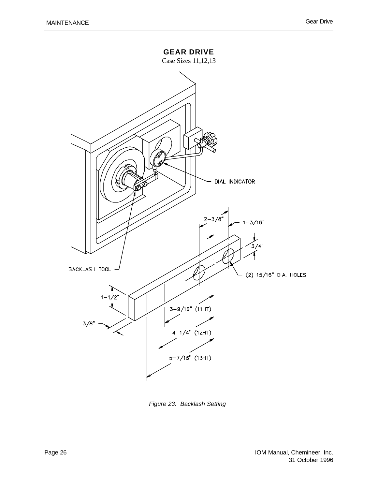

*Figure 23: Backlash Setting*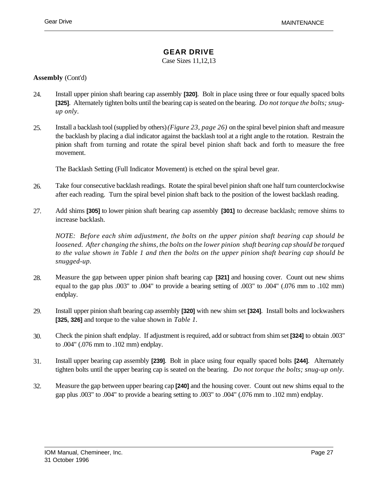## **GEAR DRIVE**

Case Sizes 11,12,13

#### **Assembly** (Cont'd)

- 24. Install upper pinion shaft bearing cap assembly **[320]**. Bolt in place using three or four equally spaced bolts **[325]**. Alternately tighten bolts until the bearing cap is seated on the bearing. *Do not torque the bolts; snugup only.*
- 25. Install a backlash tool (supplied by others) *(Figure 23, page 26)* on the spiral bevel pinion shaft and measure the backlash by placing a dial indicator against the backlash tool at a right angle to the rotation. Restrain the pinion shaft from turning and rotate the spiral bevel pinion shaft back and forth to measure the free movement.

The Backlash Setting (Full Indicator Movement) is etched on the spiral bevel gear.

- 26. Take four consecutive backlash readings. Rotate the spiral bevel pinion shaft one half turn counterclockwise after each reading. Turn the spiral bevel pinion shaft back to the position of the lowest backlash reading.
- 27. Add shims **[305]** to lower pinion shaft bearing cap assembly **[301]** to decrease backlash; remove shims to increase backlash.

*NOTE: Before each shim adjustment, the bolts on the upper pinion shaft bearing cap should be loosened. After changing the shims, the bolts on the lower pinion shaft bearing cap should be torqued to the value shown in Table 1 and then the bolts on the upper pinion shaft bearing cap should be snugged-up.* 

- 28. Measure the gap between upper pinion shaft bearing cap **[321]** and housing cover. Count out new shims equal to the gap plus .003" to .004" to provide a bearing setting of .003" to .004" (.076 mm to .102 mm) endplay.
- 29. Install upper pinion shaft bearing cap assembly **[320]** with new shim set **[324]**. Install bolts and lockwashers **[325, 326]** and torque to the value shown in *Table 1.*
- 30. Check the pinion shaft endplay. If adjustment is required, add or subtract from shim set **[324]** to obtain .003" to .004" (.076 mm to .102 mm) endplay.
- 31. Install upper bearing cap assembly **[239]**. Bolt in place using four equally spaced bolts **[244]**. Alternately tighten bolts until the upper bearing cap is seated on the bearing. *Do not torque the bolts; snug-up only.*
- 32. Measure the gap between upper bearing cap **[240]** and the housing cover. Count out new shims equal to the gap plus .003" to .004" to provide a bearing setting to .003" to .004" (.076 mm to .102 mm) endplay.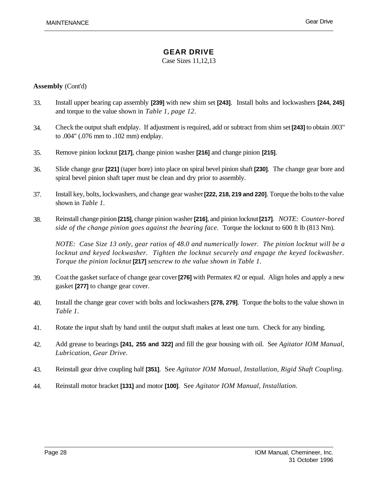Case Sizes 11,12,13

### **Assembly** (Cont'd)

- 33. Install upper bearing cap assembly **[239]** with new shim set **[243]**. Install bolts and lockwashers **[244, 245]** and torque to the value shown in *Table 1, page 12*.
- 34. Check the output shaft endplay. If adjustment is required, add or subtract from shim set **[243]** to obtain .003" to .004" (.076 mm to .102 mm) endplay.
- 35. Remove pinion locknut **[217]**, change pinion washer **[216]** and change pinion **[215]**.
- 36. Slide change gear **[221]** (taper bore) into place on spiral bevel pinion shaft **[230]**. The change gear bore and spiral bevel pinion shaft taper must be clean and dry prior to assembly.
- 37. Install key, bolts, lockwashers, and change gear washer **[222, 218, 219 and 220]**. Torque the bolts to the value shown in *Table 1.*
- 38. Reinstall change pinion **[215]**, change pinion washer **[216]**, and pinion locknut **[217]**. *NOTE: Counter-bored side of the change pinion goes against the bearing face.* Torque the locknut to 600 ft lb (813 Nm).

*NOTE: Case Size 13 only, gear ratios of 48.0 and numerically lower. The pinion locknut will be a locknut and keyed lockwasher. Tighten the locknut securely and engage the keyed lockwasher. Torque the pinion locknut* **[217]** *setscrew to the value shown in Table 1.*

- 39. Coat the gasket surface of change gear cover **[276]** with Permatex #2 or equal. Align holes and apply a new gasket **[277]** to change gear cover.
- 40. Install the change gear cover with bolts and lockwashers **[278, 279]**. Torque the bolts to the value shown in *Table 1*.
- 41. Rotate the input shaft by hand until the output shaft makes at least one turn. Check for any binding.
- 42. Add grease to bearings **[241, 255 and 322]** and fill the gear housing with oil. See *Agitator IOM Manual, Lubrication, Gear Drive.*
- 43. Reinstall gear drive coupling half **[351]**. See *Agitator IOM Manual, Installation, Rigid Shaft Coupling.*
- 44. Reinstall motor bracket **[131]** and motor **[100]**. See *Agitator IOM Manual, Installation.*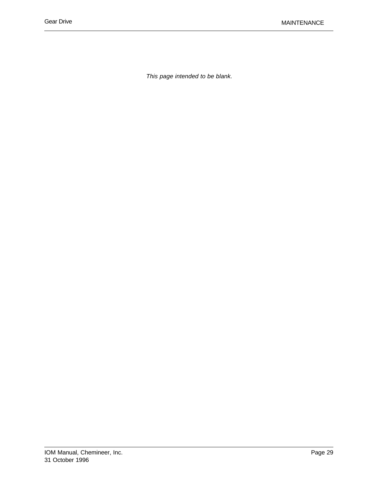*This page intended to be blank.*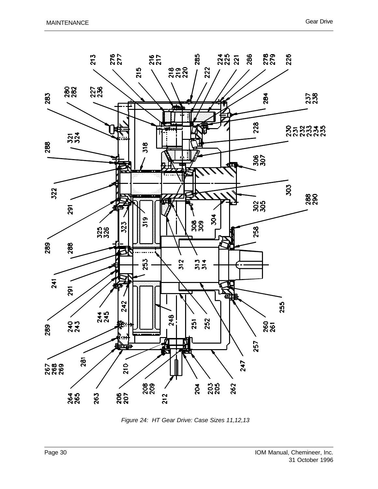

*Figure 24: HT Gear Drive: Case Sizes 11,12,13*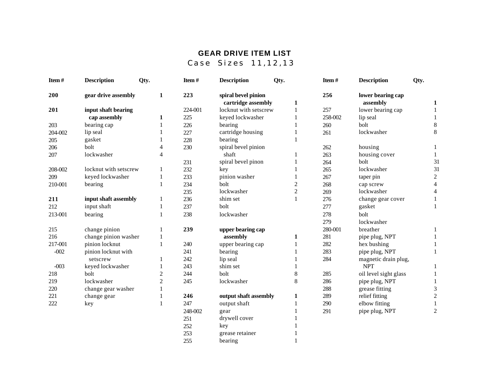# **GEAR DRIVE ITEM LIST**

Case Sizes 11,12,13

| Item#   | <b>Description</b>    | Qty.           | Item#   | <b>Description</b>    | Qty.           | Item#   | <b>Description</b>    | Qty.                    |
|---------|-----------------------|----------------|---------|-----------------------|----------------|---------|-----------------------|-------------------------|
| 200     | gear drive assembly   | 1              | 223     | spiral bevel pinion   |                | 256     | lower bearing cap     |                         |
|         |                       |                |         | cartridge assembly    | 1              |         | assembly              | 1                       |
| 201     | input shaft bearing   |                | 224-001 | locknut with setscrew | 1              | 257     | lower bearing cap     |                         |
|         | cap assembly          | 1              | 225     | keyed lockwasher      |                | 258-002 | lip seal              | 1                       |
| 203     | bearing cap           | 1              | 226     | bearing               |                | 260     | bolt                  | 8                       |
| 204-002 | lip seal              |                | 227     | cartridge housing     |                | 261     | lockwasher            | 8                       |
| 205     | gasket                |                | 228     | bearing               |                |         |                       |                         |
| 206     | bolt                  | 4              | 230     | spiral bevel pinion   |                | 262     | housing               | 1                       |
| 207     | lockwasher            | 4              |         | shaft                 |                | 263     | housing cover         | 1                       |
|         |                       |                | 231     | spiral bevel pinon    |                | 264     | bolt                  | 31                      |
| 208-002 | locknut with setscrew | 1              | 232     | key                   |                | 265     | lockwasher            | 31                      |
| 209     | keyed lockwasher      |                | 233     | pinion washer         |                | 267     | taper pin             | $\overline{c}$          |
| 210-001 | bearing               | 1              | 234     | bolt                  | $\overline{2}$ | 268     | cap screw             | $\overline{4}$          |
|         |                       |                | 235     | lockwasher            | $\overline{c}$ | 269     | lockwasher            | $\overline{\mathbf{4}}$ |
| 211     | input shaft assembly  | 1              | 236     | shim set              |                | 276     | change gear cover     | 1                       |
| 212     | input shaft           | 1              | 237     | bolt                  |                | 277     | gasket                | $\mathbf{1}$            |
| 213-001 | bearing               | 1              | 238     | lockwasher            |                | 278     | bolt                  |                         |
|         |                       |                |         |                       |                | 279     | lockwasher            |                         |
| 215     | change pinion         | 1              | 239     | upper bearing cap     |                | 280-001 | breather              | 1                       |
| 216     | change pinion washer  |                |         | assembly              | 1              | 281     | pipe plug, NPT        | $\mathbf{1}$            |
| 217-001 | pinion locknut        | 1              | 240     | upper bearing cap     | 1              | 282     | hex bushing           |                         |
| $-002$  | pinion locknut with   |                | 241     | bearing               |                | 283     | pipe plug, NPT        | 1                       |
|         | setscrew              | 1              | 242     | lip seal              |                | 284     | magnetic drain plug,  |                         |
| $-003$  | keyed lockwasher      |                | 243     | shim set              |                |         | <b>NPT</b>            | 1                       |
| 218     | bolt                  | $\overline{c}$ | 244     | bolt                  | 8              | 285     | oil level sight glass | $\mathbf{1}$            |
| 219     | lockwasher            | $\overline{c}$ | 245     | lockwasher            | 8              | 286     | pipe plug, NPT        | $\mathbf{1}$            |
| 220     | change gear washer    | 1              |         |                       |                | 288     | grease fitting        | 3                       |
| 221     | change gear           |                | 246     | output shaft assembly | 1              | 289     | relief fitting        | $\mathbf{2}$            |
| 222     | key                   |                | 247     | output shaft          |                | 290     | elbow fitting         | $\mathbf{1}$            |
|         |                       |                | 248-002 | gear                  |                | 291     | pipe plug, NPT        | $\overline{c}$          |
|         |                       |                | 251     | drywell cover         |                |         |                       |                         |
|         |                       |                | 252     | key                   |                |         |                       |                         |
|         |                       |                | 253     | grease retainer       |                |         |                       |                         |

253 grease retainer 1<br>255 bearing 1 bearing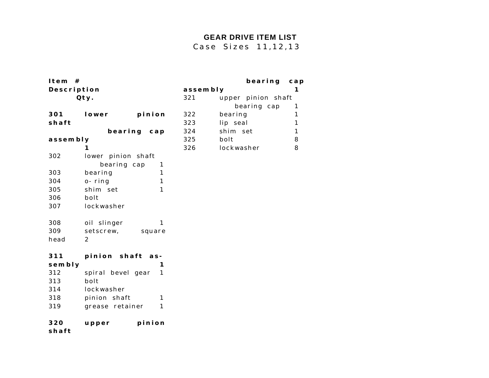## **GEAR DRIVE ITEM LIST**

 **bearing cap**

Case Sizes 11,12,13

| Item $#$    |                            |          | bearing            | ca |
|-------------|----------------------------|----------|--------------------|----|
| Description |                            | assembly |                    | 1  |
|             | Qty.                       | 321      | upper pinion shaft |    |
|             |                            |          | bearing cap        | 1  |
| 301         | lower<br>pinion            | 322      | bearing            | 1  |
| shaft       |                            | 323      | lip seal           | 1  |
|             | bearing<br>ca <sub>p</sub> | 324      | shim set           | 1  |
| assembly    |                            | 325      | bolt               | 8  |
|             |                            | 326      | lockwasher         | 8  |
| 302         | lower pinion shaft         |          |                    |    |
|             | bearing cap<br>1           |          |                    |    |
| 303         | bearing<br>1               |          |                    |    |
| 304         | o-ring<br>1                |          |                    |    |
| 305         | shim set<br>1              |          |                    |    |
| 306         | bolt                       |          |                    |    |
| 307         | lockwasher                 |          |                    |    |
| 308         | oil slinger<br>1           |          |                    |    |
| 309         | setscrew,<br>square        |          |                    |    |
| head        | 2                          |          |                    |    |
| 311         | pinion shaft as-           |          |                    |    |
| sembly      | 1                          |          |                    |    |
| 312         | spiral bevel gear<br>1     |          |                    |    |
| 313         | bolt                       |          |                    |    |
| 314         | lockwasher                 |          |                    |    |
| 318         | pinion shaft<br>1          |          |                    |    |
| 319         | grease retainer<br>1       |          |                    |    |
|             |                            |          |                    |    |

### **upper pinion shaft**